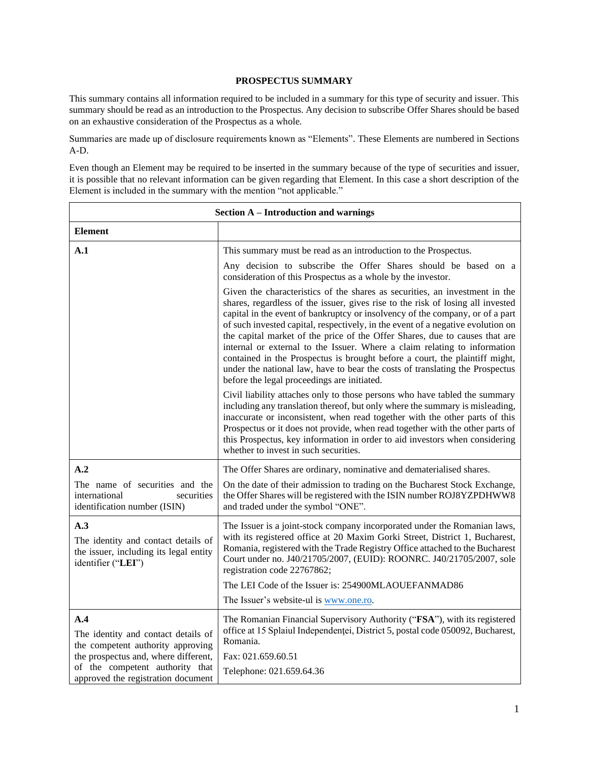### **PROSPECTUS SUMMARY**

This summary contains all information required to be included in a summary for this type of security and issuer. This summary should be read as an introduction to the Prospectus. Any decision to subscribe Offer Shares should be based on an exhaustive consideration of the Prospectus as a whole.

Summaries are made up of disclosure requirements known as "Elements". These Elements are numbered in Sections A-D.

Even though an Element may be required to be inserted in the summary because of the type of securities and issuer, it is possible that no relevant information can be given regarding that Element. In this case a short description of the Element is included in the summary with the mention "not applicable."

| <b>Section A - Introduction and warnings</b>                                                               |                                                                                                                                                                                                                                                                                                                                                                                                                                                                                                                                                                                                                                                                                                              |
|------------------------------------------------------------------------------------------------------------|--------------------------------------------------------------------------------------------------------------------------------------------------------------------------------------------------------------------------------------------------------------------------------------------------------------------------------------------------------------------------------------------------------------------------------------------------------------------------------------------------------------------------------------------------------------------------------------------------------------------------------------------------------------------------------------------------------------|
| <b>Element</b>                                                                                             |                                                                                                                                                                                                                                                                                                                                                                                                                                                                                                                                                                                                                                                                                                              |
| A.1                                                                                                        | This summary must be read as an introduction to the Prospectus.                                                                                                                                                                                                                                                                                                                                                                                                                                                                                                                                                                                                                                              |
|                                                                                                            | Any decision to subscribe the Offer Shares should be based on a<br>consideration of this Prospectus as a whole by the investor.                                                                                                                                                                                                                                                                                                                                                                                                                                                                                                                                                                              |
|                                                                                                            | Given the characteristics of the shares as securities, an investment in the<br>shares, regardless of the issuer, gives rise to the risk of losing all invested<br>capital in the event of bankruptcy or insolvency of the company, or of a part<br>of such invested capital, respectively, in the event of a negative evolution on<br>the capital market of the price of the Offer Shares, due to causes that are<br>internal or external to the Issuer. Where a claim relating to information<br>contained in the Prospectus is brought before a court, the plaintiff might,<br>under the national law, have to bear the costs of translating the Prospectus<br>before the legal proceedings are initiated. |
|                                                                                                            | Civil liability attaches only to those persons who have tabled the summary<br>including any translation thereof, but only where the summary is misleading,<br>inaccurate or inconsistent, when read together with the other parts of this<br>Prospectus or it does not provide, when read together with the other parts of<br>this Prospectus, key information in order to aid investors when considering<br>whether to invest in such securities.                                                                                                                                                                                                                                                           |
| A.2                                                                                                        | The Offer Shares are ordinary, nominative and dematerialised shares.                                                                                                                                                                                                                                                                                                                                                                                                                                                                                                                                                                                                                                         |
| The name of securities and the<br>international<br>securities<br>identification number (ISIN)              | On the date of their admission to trading on the Bucharest Stock Exchange,<br>the Offer Shares will be registered with the ISIN number ROJ8YZPDHWW8<br>and traded under the symbol "ONE".                                                                                                                                                                                                                                                                                                                                                                                                                                                                                                                    |
| A.3<br>The identity and contact details of<br>the issuer, including its legal entity<br>identifier ("LEI") | The Issuer is a joint-stock company incorporated under the Romanian laws,<br>with its registered office at 20 Maxim Gorki Street, District 1, Bucharest,<br>Romania, registered with the Trade Registry Office attached to the Bucharest<br>Court under no. J40/21705/2007, (EUID): ROONRC. J40/21705/2007, sole<br>registration code 22767862;                                                                                                                                                                                                                                                                                                                                                              |
|                                                                                                            | The LEI Code of the Issuer is: 254900MLAOUEFANMAD86                                                                                                                                                                                                                                                                                                                                                                                                                                                                                                                                                                                                                                                          |
|                                                                                                            | The Issuer's website-ul is www.one.ro.                                                                                                                                                                                                                                                                                                                                                                                                                                                                                                                                                                                                                                                                       |
| A.4<br>The identity and contact details of<br>the competent authority approving                            | The Romanian Financial Supervisory Authority ("FSA"), with its registered<br>office at 15 Splaiul Independentei, District 5, postal code 050092, Bucharest,<br>Romania.                                                                                                                                                                                                                                                                                                                                                                                                                                                                                                                                      |
| the prospectus and, where different,                                                                       | Fax: 021.659.60.51                                                                                                                                                                                                                                                                                                                                                                                                                                                                                                                                                                                                                                                                                           |
| of the competent authority that<br>approved the registration document                                      | Telephone: 021.659.64.36                                                                                                                                                                                                                                                                                                                                                                                                                                                                                                                                                                                                                                                                                     |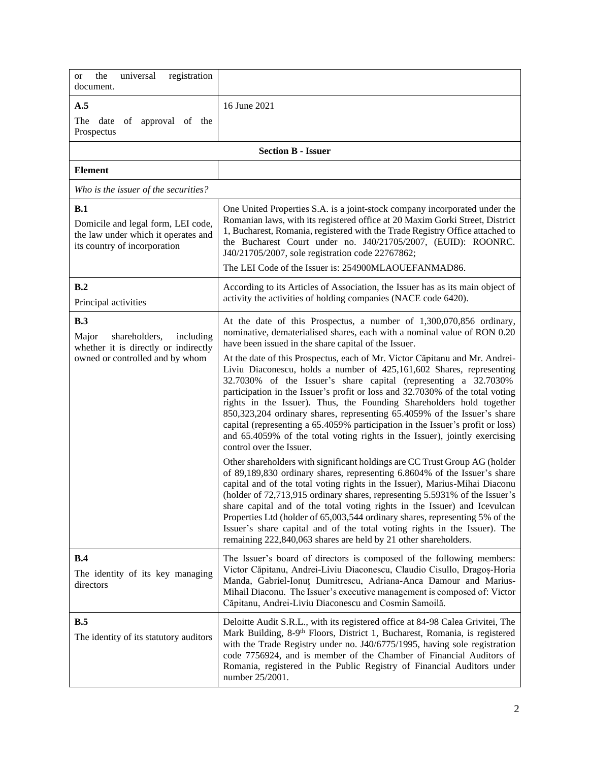| the<br>registration<br>universal<br><sub>or</sub><br>document.                                                        |                                                                                                                                                                                                                                                                                                                                                                                                                                                                                                                                                                                                                                    |
|-----------------------------------------------------------------------------------------------------------------------|------------------------------------------------------------------------------------------------------------------------------------------------------------------------------------------------------------------------------------------------------------------------------------------------------------------------------------------------------------------------------------------------------------------------------------------------------------------------------------------------------------------------------------------------------------------------------------------------------------------------------------|
| A.5                                                                                                                   | 16 June 2021                                                                                                                                                                                                                                                                                                                                                                                                                                                                                                                                                                                                                       |
| The<br>date<br>of approval of the<br>Prospectus                                                                       |                                                                                                                                                                                                                                                                                                                                                                                                                                                                                                                                                                                                                                    |
|                                                                                                                       | <b>Section B - Issuer</b>                                                                                                                                                                                                                                                                                                                                                                                                                                                                                                                                                                                                          |
| <b>Element</b>                                                                                                        |                                                                                                                                                                                                                                                                                                                                                                                                                                                                                                                                                                                                                                    |
| Who is the issuer of the securities?                                                                                  |                                                                                                                                                                                                                                                                                                                                                                                                                                                                                                                                                                                                                                    |
| B.1<br>Domicile and legal form, LEI code,<br>the law under which it operates and<br>its country of incorporation      | One United Properties S.A. is a joint-stock company incorporated under the<br>Romanian laws, with its registered office at 20 Maxim Gorki Street, District<br>1, Bucharest, Romania, registered with the Trade Registry Office attached to<br>the Bucharest Court under no. J40/21705/2007, (EUID): ROONRC.<br>J40/21705/2007, sole registration code 22767862;<br>The LEI Code of the Issuer is: 254900MLAOUEFANMAD86.                                                                                                                                                                                                            |
| B.2                                                                                                                   | According to its Articles of Association, the Issuer has as its main object of                                                                                                                                                                                                                                                                                                                                                                                                                                                                                                                                                     |
| Principal activities                                                                                                  | activity the activities of holding companies (NACE code 6420).                                                                                                                                                                                                                                                                                                                                                                                                                                                                                                                                                                     |
| B.3<br>shareholders,<br>including<br>Major<br>whether it is directly or indirectly<br>owned or controlled and by whom | At the date of this Prospectus, a number of 1,300,070,856 ordinary,<br>nominative, dematerialised shares, each with a nominal value of RON 0.20<br>have been issued in the share capital of the Issuer.<br>At the date of this Prospectus, each of Mr. Victor Căpitanu and Mr. Andrei-                                                                                                                                                                                                                                                                                                                                             |
|                                                                                                                       | Liviu Diaconescu, holds a number of 425,161,602 Shares, representing<br>32.7030% of the Issuer's share capital (representing a 32.7030%<br>participation in the Issuer's profit or loss and 32.7030% of the total voting<br>rights in the Issuer). Thus, the Founding Shareholders hold together<br>850,323,204 ordinary shares, representing 65.4059% of the Issuer's share<br>capital (representing a 65.4059% participation in the Issuer's profit or loss)<br>and 65.4059% of the total voting rights in the Issuer), jointly exercising<br>control over the Issuer.                                                           |
|                                                                                                                       | Other shareholders with significant holdings are CC Trust Group AG (holder<br>of 89,189,830 ordinary shares, representing 6.8604% of the Issuer's share<br>capital and of the total voting rights in the Issuer), Marius-Mihai Diaconu<br>(holder of 72,713,915 ordinary shares, representing 5.5931% of the Issuer's<br>share capital and of the total voting rights in the Issuer) and Icevulcan<br>Properties Ltd (holder of 65,003,544 ordinary shares, representing 5% of the<br>Issuer's share capital and of the total voting rights in the Issuer). The<br>remaining 222,840,063 shares are held by 21 other shareholders. |
| B.4<br>The identity of its key managing<br>directors                                                                  | The Issuer's board of directors is composed of the following members:<br>Victor Căpitanu, Andrei-Liviu Diaconescu, Claudio Cisullo, Dragoș-Horia<br>Manda, Gabriel-Ionuț Dumitrescu, Adriana-Anca Damour and Marius-<br>Mihail Diaconu. The Issuer's executive management is composed of: Victor<br>Căpitanu, Andrei-Liviu Diaconescu and Cosmin Samoilă.                                                                                                                                                                                                                                                                          |
| B.5<br>The identity of its statutory auditors                                                                         | Deloitte Audit S.R.L., with its registered office at 84-98 Calea Grivitei, The<br>Mark Building, 8-9 <sup>th</sup> Floors, District 1, Bucharest, Romania, is registered<br>with the Trade Registry under no. J40/6775/1995, having sole registration<br>code 7756924, and is member of the Chamber of Financial Auditors of<br>Romania, registered in the Public Registry of Financial Auditors under<br>number 25/2001.                                                                                                                                                                                                          |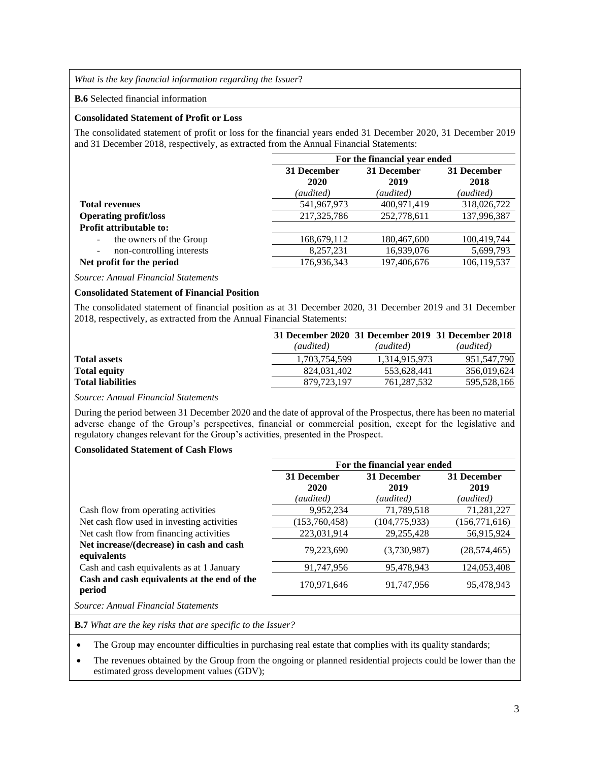*What is the key financial information regarding the Issuer*?

#### **B.6** Selected financial information

### **Consolidated Statement of Profit or Loss**

The consolidated statement of profit or loss for the financial years ended 31 December 2020, 31 December 2019 and 31 December 2018, respectively, as extracted from the Annual Financial Statements:

|                                                       | For the financial year ended              |             |             |
|-------------------------------------------------------|-------------------------------------------|-------------|-------------|
|                                                       | 31 December<br>31 December<br>31 December |             |             |
|                                                       | 2020                                      | 2019        | 2018        |
|                                                       | (audited)                                 | (audited)   | (audited)   |
| <b>Total revenues</b>                                 | 541,967,973                               | 400,971,419 | 318,026,722 |
| <b>Operating profit/loss</b>                          | 217,325,786                               | 252,778,611 | 137,996,387 |
| <b>Profit attributable to:</b>                        |                                           |             |             |
| the owners of the Group<br>$\overline{\phantom{a}}$   | 168,679,112                               | 180,467,600 | 100,419,744 |
| non-controlling interests<br>$\overline{\phantom{a}}$ | 8,257,231                                 | 16,939,076  | 5,699,793   |
| Net profit for the period                             | 176,936,343                               | 197,406,676 | 106.119.537 |

*Source: Annual Financial Statements*

## **Consolidated Statement of Financial Position**

The consolidated statement of financial position as at 31 December 2020, 31 December 2019 and 31 December 2018, respectively, as extracted from the Annual Financial Statements:

|                          |               | 31 December 2020 31 December 2019 31 December 2018 |             |
|--------------------------|---------------|----------------------------------------------------|-------------|
|                          | (audited)     | (audited)                                          | (audited)   |
| <b>Total assets</b>      | 1.703.754.599 | 1.314.915.973                                      | 951.547.790 |
| <b>Total equity</b>      | 824,031,402   | 553.628.441                                        | 356,019,624 |
| <b>Total liabilities</b> | 879.723.197   | 761.287.532                                        | 595,528,166 |

## *Source: Annual Financial Statements*

During the period between 31 December 2020 and the date of approval of the Prospectus, there has been no material adverse change of the Group's perspectives, financial or commercial position, except for the legislative and regulatory changes relevant for the Group's activities, presented in the Prospect.

# **Consolidated Statement of Cash Flows**

|                                                         | For the financial year ended |                 |                 |
|---------------------------------------------------------|------------------------------|-----------------|-----------------|
|                                                         | 31 December<br>31 December   |                 | 31 December     |
|                                                         | 2020                         | 2019            | 2019            |
|                                                         | (audited)                    | (audited)       | (audited)       |
| Cash flow from operating activities                     | 9,952,234                    | 71,789,518      | 71,281,227      |
| Net cash flow used in investing activities              | (153, 760, 458)              | (104, 775, 933) | (156, 771, 616) |
| Net cash flow from financing activities                 | 223,031,914                  | 29,255,428      | 56,915,924      |
| Net increase/(decrease) in cash and cash<br>equivalents | 79,223,690                   | (3,730,987)     | (28, 574, 465)  |
| Cash and cash equivalents as at 1 January               | 91,747,956                   | 95,478,943      | 124,053,408     |
| Cash and cash equivalents at the end of the<br>period   | 170,971,646                  | 91,747,956      | 95,478,943      |

*Source: Annual Financial Statements*

**B.7** *What are the key risks that are specific to the Issuer?*

The Group may encounter difficulties in purchasing real estate that complies with its quality standards;

• The revenues obtained by the Group from the ongoing or planned residential projects could be lower than the estimated gross development values (GDV);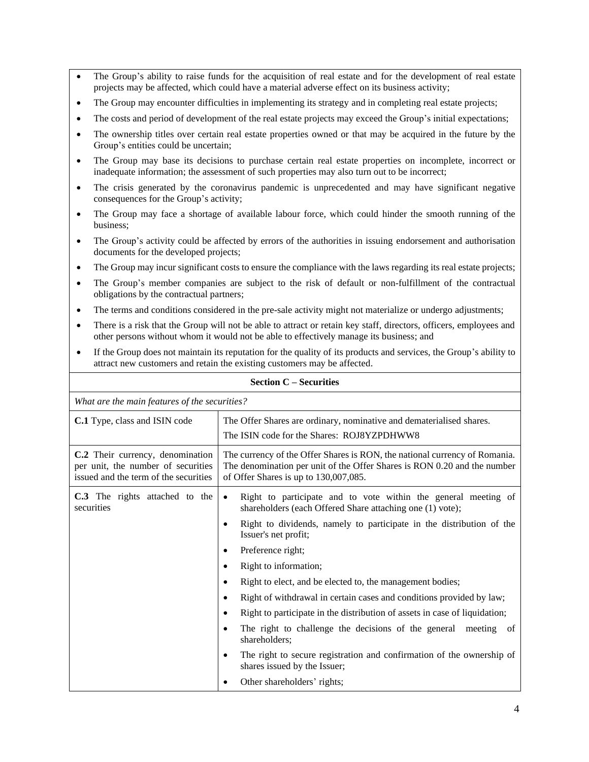- The Group's ability to raise funds for the acquisition of real estate and for the development of real estate projects may be affected, which could have a material adverse effect on its business activity;
- The Group may encounter difficulties in implementing its strategy and in completing real estate projects;
- The costs and period of development of the real estate projects may exceed the Group's initial expectations;
- The ownership titles over certain real estate properties owned or that may be acquired in the future by the Group's entities could be uncertain;
- The Group may base its decisions to purchase certain real estate properties on incomplete, incorrect or inadequate information; the assessment of such properties may also turn out to be incorrect;
- The crisis generated by the coronavirus pandemic is unprecedented and may have significant negative consequences for the Group's activity;
- The Group may face a shortage of available labour force, which could hinder the smooth running of the business;
- The Group's activity could be affected by errors of the authorities in issuing endorsement and authorisation documents for the developed projects;
- The Group may incur significant costs to ensure the compliance with the laws regarding its real estate projects;
- The Group's member companies are subject to the risk of default or non-fulfillment of the contractual obligations by the contractual partners;
- The terms and conditions considered in the pre-sale activity might not materialize or undergo adjustments;
- There is a risk that the Group will not be able to attract or retain key staff, directors, officers, employees and other persons without whom it would not be able to effectively manage its business; and
- If the Group does not maintain its reputation for the quality of its products and services, the Group's ability to attract new customers and retain the existing customers may be affected.

| What are the main features of the securities?                                                                   |                                                                                                                                                                                                 |  |
|-----------------------------------------------------------------------------------------------------------------|-------------------------------------------------------------------------------------------------------------------------------------------------------------------------------------------------|--|
| C.1 Type, class and ISIN code                                                                                   | The Offer Shares are ordinary, nominative and dematerialised shares.<br>The ISIN code for the Shares: ROJ8YZPDHWW8                                                                              |  |
| C.2 Their currency, denomination<br>per unit, the number of securities<br>issued and the term of the securities | The currency of the Offer Shares is RON, the national currency of Romania.<br>The denomination per unit of the Offer Shares is RON 0.20 and the number<br>of Offer Shares is up to 130,007,085. |  |
| C.3 The rights attached to the<br>securities                                                                    | Right to participate and to vote within the general meeting of<br>$\bullet$<br>shareholders (each Offered Share attaching one (1) vote);                                                        |  |
|                                                                                                                 | Right to dividends, namely to participate in the distribution of the<br>Issuer's net profit;                                                                                                    |  |
|                                                                                                                 | Preference right;                                                                                                                                                                               |  |
|                                                                                                                 | Right to information;                                                                                                                                                                           |  |
|                                                                                                                 | Right to elect, and be elected to, the management bodies;                                                                                                                                       |  |
|                                                                                                                 | Right of withdrawal in certain cases and conditions provided by law;                                                                                                                            |  |
|                                                                                                                 | Right to participate in the distribution of assets in case of liquidation;                                                                                                                      |  |
|                                                                                                                 | The right to challenge the decisions of the general meeting of<br>shareholders;                                                                                                                 |  |
|                                                                                                                 | The right to secure registration and confirmation of the ownership of<br>shares issued by the Issuer;                                                                                           |  |
|                                                                                                                 | Other shareholders' rights;                                                                                                                                                                     |  |

### **Section C – Securities**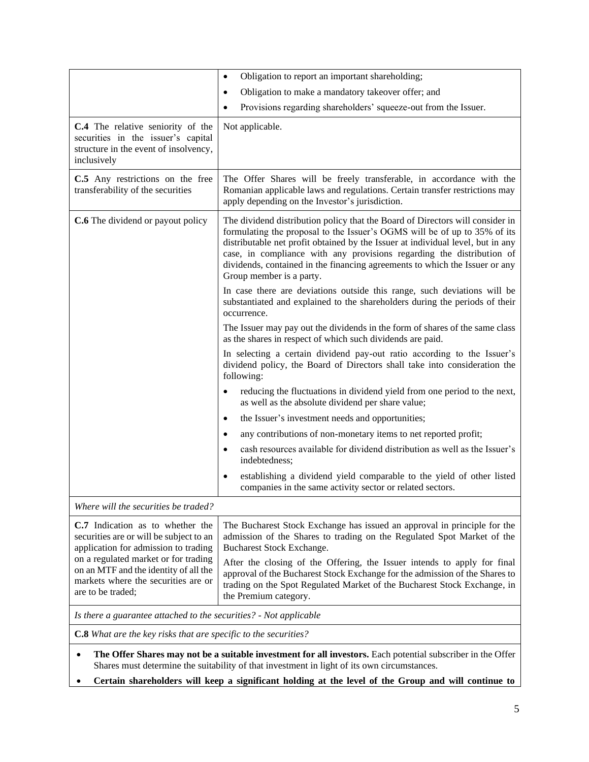|                                                                                                                                                             | Obligation to report an important shareholding;<br>$\bullet$                                                                                                                                                                                                                                                                                                                                                                      |
|-------------------------------------------------------------------------------------------------------------------------------------------------------------|-----------------------------------------------------------------------------------------------------------------------------------------------------------------------------------------------------------------------------------------------------------------------------------------------------------------------------------------------------------------------------------------------------------------------------------|
|                                                                                                                                                             | Obligation to make a mandatory takeover offer; and                                                                                                                                                                                                                                                                                                                                                                                |
|                                                                                                                                                             | Provisions regarding shareholders' squeeze-out from the Issuer.                                                                                                                                                                                                                                                                                                                                                                   |
| C.4 The relative seniority of the<br>securities in the issuer's capital<br>structure in the event of insolvency,<br>inclusively                             | Not applicable.                                                                                                                                                                                                                                                                                                                                                                                                                   |
| C.5 Any restrictions on the free<br>transferability of the securities                                                                                       | The Offer Shares will be freely transferable, in accordance with the<br>Romanian applicable laws and regulations. Certain transfer restrictions may<br>apply depending on the Investor's jurisdiction.                                                                                                                                                                                                                            |
| <b>C.6</b> The dividend or payout policy                                                                                                                    | The dividend distribution policy that the Board of Directors will consider in<br>formulating the proposal to the Issuer's OGMS will be of up to 35% of its<br>distributable net profit obtained by the Issuer at individual level, but in any<br>case, in compliance with any provisions regarding the distribution of<br>dividends, contained in the financing agreements to which the Issuer or any<br>Group member is a party. |
|                                                                                                                                                             | In case there are deviations outside this range, such deviations will be<br>substantiated and explained to the shareholders during the periods of their<br>occurrence.                                                                                                                                                                                                                                                            |
|                                                                                                                                                             | The Issuer may pay out the dividends in the form of shares of the same class<br>as the shares in respect of which such dividends are paid.                                                                                                                                                                                                                                                                                        |
|                                                                                                                                                             | In selecting a certain dividend pay-out ratio according to the Issuer's<br>dividend policy, the Board of Directors shall take into consideration the<br>following:                                                                                                                                                                                                                                                                |
|                                                                                                                                                             | reducing the fluctuations in dividend yield from one period to the next,<br>as well as the absolute dividend per share value;                                                                                                                                                                                                                                                                                                     |
|                                                                                                                                                             | the Issuer's investment needs and opportunities;<br>$\bullet$                                                                                                                                                                                                                                                                                                                                                                     |
|                                                                                                                                                             | any contributions of non-monetary items to net reported profit;<br>$\bullet$                                                                                                                                                                                                                                                                                                                                                      |
|                                                                                                                                                             | cash resources available for dividend distribution as well as the Issuer's<br>indebtedness;                                                                                                                                                                                                                                                                                                                                       |
|                                                                                                                                                             | establishing a dividend yield comparable to the yield of other listed<br>$\bullet$<br>companies in the same activity sector or related sectors.                                                                                                                                                                                                                                                                                   |
| Where will the securities be traded?                                                                                                                        |                                                                                                                                                                                                                                                                                                                                                                                                                                   |
| C.7 Indication as to whether the<br>securities are or will be subject to an<br>application for admission to trading<br>on a regulated market or for trading | The Bucharest Stock Exchange has issued an approval in principle for the<br>admission of the Shares to trading on the Regulated Spot Market of the<br>Bucharest Stock Exchange.<br>After the closing of the Offering, the Issuer intends to apply for final                                                                                                                                                                       |
| on an MTF and the identity of all the<br>markets where the securities are or<br>are to be traded;                                                           | approval of the Bucharest Stock Exchange for the admission of the Shares to<br>trading on the Spot Regulated Market of the Bucharest Stock Exchange, in<br>the Premium category.                                                                                                                                                                                                                                                  |
| Is there a guarantee attached to the securities? - Not applicable                                                                                           |                                                                                                                                                                                                                                                                                                                                                                                                                                   |
| <b>C.8</b> What are the key risks that are specific to the securities?                                                                                      |                                                                                                                                                                                                                                                                                                                                                                                                                                   |
|                                                                                                                                                             | The Offer Shares may not be a suitable investment for all investors. Each potential subscriber in the Offer<br>Shares must determine the suitability of that investment in light of its own circumstances.                                                                                                                                                                                                                        |

• **Certain shareholders will keep a significant holding at the level of the Group and will continue to**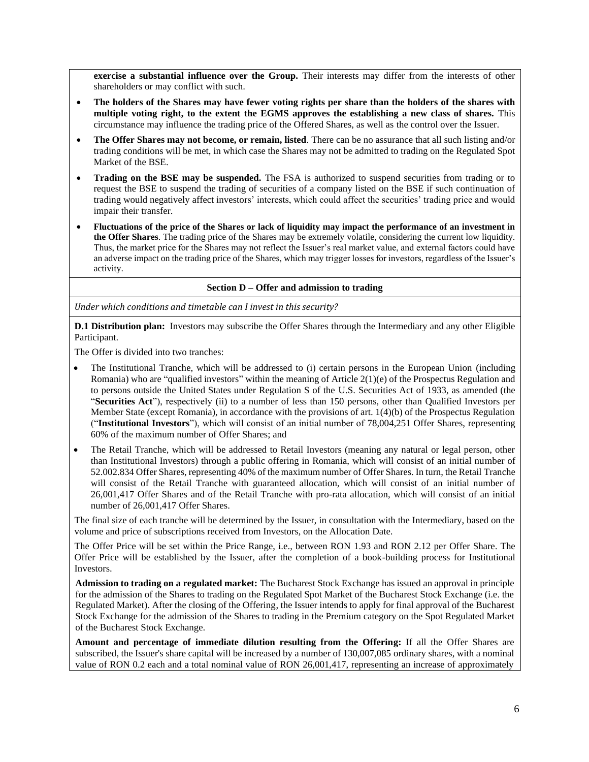**exercise a substantial influence over the Group.** Their interests may differ from the interests of other shareholders or may conflict with such.

- **The holders of the Shares may have fewer voting rights per share than the holders of the shares with multiple voting right, to the extent the EGMS approves the establishing a new class of shares.** This circumstance may influence the trading price of the Offered Shares, as well as the control over the Issuer.
- **The Offer Shares may not become, or remain, listed**. There can be no assurance that all such listing and/or trading conditions will be met, in which case the Shares may not be admitted to trading on the Regulated Spot Market of the BSE.
- **Trading on the BSE may be suspended.** The FSA is authorized to suspend securities from trading or to request the BSE to suspend the trading of securities of a company listed on the BSE if such continuation of trading would negatively affect investors' interests, which could affect the securities' trading price and would impair their transfer.
- **Fluctuations of the price of the Shares or lack of liquidity may impact the performance of an investment in the Offer Shares**. The trading price of the Shares may be extremely volatile, considering the current low liquidity. Thus, the market price for the Shares may not reflect the Issuer's real market value, and external factors could have an adverse impact on the trading price of the Shares, which may trigger losses for investors, regardless of the Issuer's activity.

#### **Section D – Offer and admission to trading**

*Under which conditions and timetable can I invest in this security?*

**D.1 Distribution plan:** Investors may subscribe the Offer Shares through the Intermediary and any other Eligible Participant.

The Offer is divided into two tranches:

- The Institutional Tranche, which will be addressed to (i) certain persons in the European Union (including Romania) who are "qualified investors" within the meaning of Article 2(1)(e) of the Prospectus Regulation and to persons outside the United States under Regulation S of the U.S. Securities Act of 1933, as amended (the "**Securities Act**"), respectively (ii) to a number of less than 150 persons, other than Qualified Investors per Member State (except Romania), in accordance with the provisions of art. 1(4)(b) of the Prospectus Regulation ("**Institutional Investors**"), which will consist of an initial number of 78,004,251 Offer Shares, representing 60% of the maximum number of Offer Shares; and
- The Retail Tranche, which will be addressed to Retail Investors (meaning any natural or legal person, other than Institutional Investors) through a public offering in Romania, which will consist of an initial number of 52.002.834 Offer Shares, representing 40% of the maximum number of Offer Shares. In turn, the Retail Tranche will consist of the Retail Tranche with guaranteed allocation, which will consist of an initial number of 26,001,417 Offer Shares and of the Retail Tranche with pro-rata allocation, which will consist of an initial number of 26,001,417 Offer Shares.

The final size of each tranche will be determined by the Issuer, in consultation with the Intermediary, based on the volume and price of subscriptions received from Investors, on the Allocation Date.

The Offer Price will be set within the Price Range, i.e., between RON 1.93 and RON 2.12 per Offer Share. The Offer Price will be established by the Issuer, after the completion of a book-building process for Institutional Investors.

**Admission to trading on a regulated market:** The Bucharest Stock Exchange has issued an approval in principle for the admission of the Shares to trading on the Regulated Spot Market of the Bucharest Stock Exchange (i.e. the Regulated Market). After the closing of the Offering, the Issuer intends to apply for final approval of the Bucharest Stock Exchange for the admission of the Shares to trading in the Premium category on the Spot Regulated Market of the Bucharest Stock Exchange.

**Amount and percentage of immediate dilution resulting from the Offering:** If all the Offer Shares are subscribed, the Issuer's share capital will be increased by a number of 130,007,085 ordinary shares, with a nominal value of RON 0.2 each and a total nominal value of RON 26,001,417, representing an increase of approximately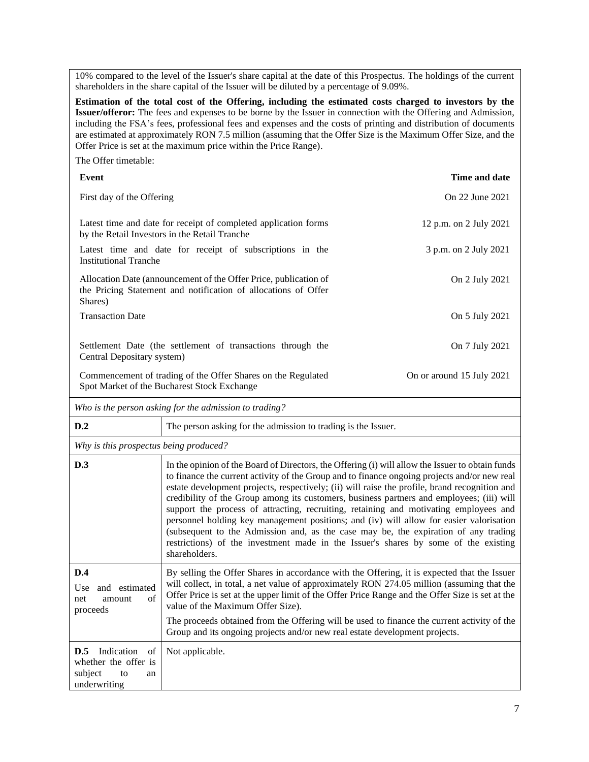10% compared to the level of the Issuer's share capital at the date of this Prospectus. The holdings of the current shareholders in the share capital of the Issuer will be diluted by a percentage of 9.09%.

**Estimation of the total cost of the Offering, including the estimated costs charged to investors by the Issuer/offeror:** The fees and expenses to be borne by the Issuer in connection with the Offering and Admission, including the FSA's fees, professional fees and expenses and the costs of printing and distribution of documents are estimated at approximately RON 7.5 million (assuming that the Offer Size is the Maximum Offer Size, and the Offer Price is set at the maximum price within the Price Range).

The Offer timetable:

| Event                                                                                                                                         | Time and date             |
|-----------------------------------------------------------------------------------------------------------------------------------------------|---------------------------|
| First day of the Offering                                                                                                                     | On 22 June 2021           |
| Latest time and date for receipt of completed application forms<br>by the Retail Investors in the Retail Tranche                              | 12 p.m. on 2 July 2021    |
| Latest time and date for receipt of subscriptions in the<br><b>Institutional Tranche</b>                                                      | 3 p.m. on 2 July 2021     |
| Allocation Date (announcement of the Offer Price, publication of<br>the Pricing Statement and notification of allocations of Offer<br>Shares) | On 2 July 2021            |
| <b>Transaction Date</b>                                                                                                                       | On 5 July 2021            |
| Settlement Date (the settlement of transactions through the<br>Central Depositary system)                                                     | On 7 July 2021            |
| Commencement of trading of the Offer Shares on the Regulated<br>Spot Market of the Bucharest Stock Exchange                                   | On or around 15 July 2021 |

*Who is the person asking for the admission to trading?*

| D.2                                                                                    | The person asking for the admission to trading is the Issuer.                                                                                                                                                                                                                                                                                                                                                                                                                                                                                                                                                                                                                                                                                                                     |
|----------------------------------------------------------------------------------------|-----------------------------------------------------------------------------------------------------------------------------------------------------------------------------------------------------------------------------------------------------------------------------------------------------------------------------------------------------------------------------------------------------------------------------------------------------------------------------------------------------------------------------------------------------------------------------------------------------------------------------------------------------------------------------------------------------------------------------------------------------------------------------------|
| Why is this prospectus being produced?                                                 |                                                                                                                                                                                                                                                                                                                                                                                                                                                                                                                                                                                                                                                                                                                                                                                   |
| D.3                                                                                    | In the opinion of the Board of Directors, the Offering (i) will allow the Issuer to obtain funds<br>to finance the current activity of the Group and to finance ongoing projects and/or new real<br>estate development projects, respectively; (ii) will raise the profile, brand recognition and<br>credibility of the Group among its customers, business partners and employees; (iii) will<br>support the process of attracting, recruiting, retaining and motivating employees and<br>personnel holding key management positions; and (iv) will allow for easier valorisation<br>(subsequent to the Admission and, as the case may be, the expiration of any trading<br>restrictions) of the investment made in the Issuer's shares by some of the existing<br>shareholders. |
| D.4<br>and estimated<br>Use<br>of<br>net<br>amount<br>proceeds                         | By selling the Offer Shares in accordance with the Offering, it is expected that the Issuer<br>will collect, in total, a net value of approximately RON 274.05 million (assuming that the<br>Offer Price is set at the upper limit of the Offer Price Range and the Offer Size is set at the<br>value of the Maximum Offer Size).<br>The proceeds obtained from the Offering will be used to finance the current activity of the<br>Group and its ongoing projects and/or new real estate development projects.                                                                                                                                                                                                                                                                   |
| Indication<br>D.5<br>of<br>whether the offer is<br>subject<br>to<br>an<br>underwriting | Not applicable.                                                                                                                                                                                                                                                                                                                                                                                                                                                                                                                                                                                                                                                                                                                                                                   |